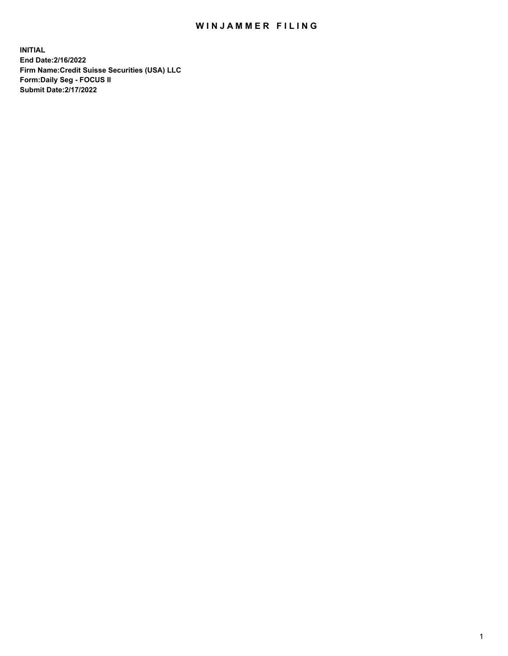## WIN JAMMER FILING

**INITIAL End Date:2/16/2022 Firm Name:Credit Suisse Securities (USA) LLC Form:Daily Seg - FOCUS II Submit Date:2/17/2022**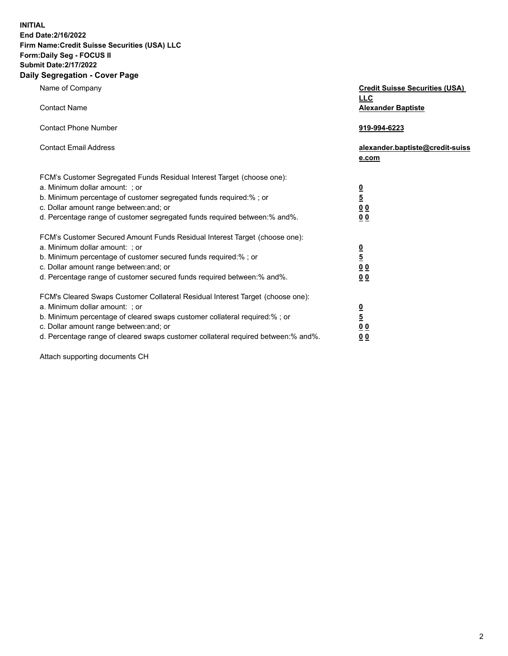**INITIAL End Date:2/16/2022** 

## **Firm Name:Credit Suisse Securities (USA) LLC Form:Daily Seg - FOCUS II Submit Date:2/17/2022**

## **Daily Segregation - Cover Page**

| Name of Company                                                                   | <b>Credit Suisse Securities (USA)</b><br><b>LLC</b> |
|-----------------------------------------------------------------------------------|-----------------------------------------------------|
| <b>Contact Name</b>                                                               | <b>Alexander Baptiste</b>                           |
| <b>Contact Phone Number</b>                                                       | 919-994-6223                                        |
| <b>Contact Email Address</b>                                                      | alexander.baptiste@credit-suiss<br>e.com            |
| FCM's Customer Segregated Funds Residual Interest Target (choose one):            |                                                     |
| a. Minimum dollar amount: ; or                                                    |                                                     |
| b. Minimum percentage of customer segregated funds required:% ; or                | $\frac{0}{5}$                                       |
| c. Dollar amount range between: and; or                                           | 0 <sub>0</sub>                                      |
| d. Percentage range of customer segregated funds required between:% and%.         | 0 <sub>0</sub>                                      |
| FCM's Customer Secured Amount Funds Residual Interest Target (choose one):        |                                                     |
| a. Minimum dollar amount: ; or                                                    | $\frac{0}{5}$                                       |
| b. Minimum percentage of customer secured funds required:% ; or                   |                                                     |
| c. Dollar amount range between: and; or                                           | 0 <sub>0</sub>                                      |
| d. Percentage range of customer secured funds required between:% and%.            | 0 <sub>0</sub>                                      |
| FCM's Cleared Swaps Customer Collateral Residual Interest Target (choose one):    |                                                     |
| a. Minimum dollar amount: ; or                                                    | $\frac{0}{5}$                                       |
| b. Minimum percentage of cleared swaps customer collateral required:% ; or        |                                                     |
| c. Dollar amount range between: and; or                                           | 0 <sub>0</sub>                                      |
| d. Percentage range of cleared swaps customer collateral required between:% and%. | 0 <sub>0</sub>                                      |

Attach supporting documents CH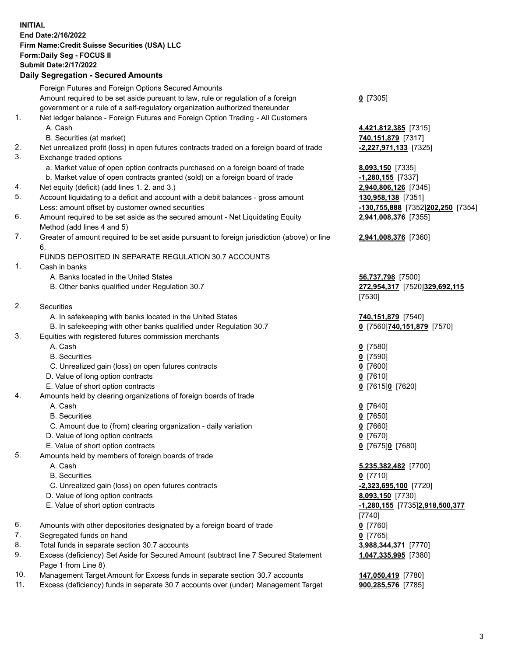**INITIAL End Date:2/16/2022 Firm Name:Credit Suisse Securities (USA) LLC Form:Daily Seg - FOCUS II Submit Date:2/17/2022** 

## **Daily Segregation - Secured Amounts**

|     | Foreign Futures and Foreign Options Secured Amounts                                               |                                   |
|-----|---------------------------------------------------------------------------------------------------|-----------------------------------|
|     | Amount required to be set aside pursuant to law, rule or regulation of a foreign                  | $0$ [7305]                        |
|     | government or a rule of a self-regulatory organization authorized thereunder                      |                                   |
| 1.  | Net ledger balance - Foreign Futures and Foreign Option Trading - All Customers                   |                                   |
|     | A. Cash                                                                                           | 4,421,812,385 [7315]              |
|     | B. Securities (at market)                                                                         | 740,151,879 [7317]                |
| 2.  | Net unrealized profit (loss) in open futures contracts traded on a foreign board of trade         | -2,227,971,133 [7325]             |
| 3.  | Exchange traded options                                                                           |                                   |
|     | a. Market value of open option contracts purchased on a foreign board of trade                    | 8,093,150 [7335]                  |
|     | b. Market value of open contracts granted (sold) on a foreign board of trade                      | $-1,280,155$ [7337]               |
| 4.  | Net equity (deficit) (add lines 1. 2. and 3.)                                                     | 2,940,806,126 [7345]              |
| 5.  | Account liquidating to a deficit and account with a debit balances - gross amount                 | 130,958,138 [7351]                |
|     | Less: amount offset by customer owned securities                                                  | -130,755,888 [7352]202,250 [7354] |
| 6.  | Amount required to be set aside as the secured amount - Net Liquidating Equity                    | 2,941,008,376 [7355]              |
|     | Method (add lines 4 and 5)                                                                        |                                   |
| 7.  | Greater of amount required to be set aside pursuant to foreign jurisdiction (above) or line<br>6. | 2,941,008,376 [7360]              |
|     | FUNDS DEPOSITED IN SEPARATE REGULATION 30.7 ACCOUNTS                                              |                                   |
| 1.  | Cash in banks                                                                                     |                                   |
|     | A. Banks located in the United States                                                             | 56,737,798 [7500]                 |
|     | B. Other banks qualified under Regulation 30.7                                                    | 272,954,317 [7520]329,692,115     |
|     |                                                                                                   | [7530]                            |
| 2.  | <b>Securities</b>                                                                                 |                                   |
|     | A. In safekeeping with banks located in the United States                                         | 740,151,879 [7540]                |
|     | B. In safekeeping with other banks qualified under Regulation 30.7                                | 0 [7560] 740,151,879 [7570]       |
| 3.  | Equities with registered futures commission merchants                                             |                                   |
|     | A. Cash                                                                                           | $0$ [7580]                        |
|     | <b>B.</b> Securities                                                                              | $0$ [7590]                        |
|     | C. Unrealized gain (loss) on open futures contracts                                               | $0$ [7600]                        |
|     | D. Value of long option contracts                                                                 | $0$ [7610]                        |
|     | E. Value of short option contracts                                                                | 0 [7615]0 [7620]                  |
| 4.  | Amounts held by clearing organizations of foreign boards of trade                                 |                                   |
|     | A. Cash                                                                                           | $0$ [7640]                        |
|     | <b>B.</b> Securities                                                                              | $0$ [7650]                        |
|     | C. Amount due to (from) clearing organization - daily variation                                   | $0$ [7660]                        |
|     | D. Value of long option contracts                                                                 | $0$ [7670]                        |
|     | E. Value of short option contracts                                                                | 0 [7675]0 [7680]                  |
| 5.  | Amounts held by members of foreign boards of trade                                                |                                   |
|     | A. Cash                                                                                           | 5,235,382,482 [7700]              |
|     | <b>B.</b> Securities                                                                              | $0$ [7710]                        |
|     | C. Unrealized gain (loss) on open futures contracts                                               | $-2,323,695,100$ [7720]           |
|     | D. Value of long option contracts                                                                 | 8,093,150 [7730]                  |
|     | E. Value of short option contracts                                                                | -1,280,155 [7735]2,918,500,377    |
|     |                                                                                                   | [7740]                            |
| 6.  | Amounts with other depositories designated by a foreign board of trade                            | $0$ [7760]                        |
| 7.  | Segregated funds on hand                                                                          | $0$ [7765]                        |
| 8.  | Total funds in separate section 30.7 accounts                                                     | 3,988,344,371 [7770]              |
| 9.  | Excess (deficiency) Set Aside for Secured Amount (subtract line 7 Secured Statement               | 1,047,335,995 [7380]              |
|     | Page 1 from Line 8)                                                                               |                                   |
| 10. | Management Target Amount for Excess funds in separate section 30.7 accounts                       | 147,050,419 [7780]                |
| 11. | Excess (deficiency) funds in separate 30.7 accounts over (under) Management Target                | 900,285,576 [7785]                |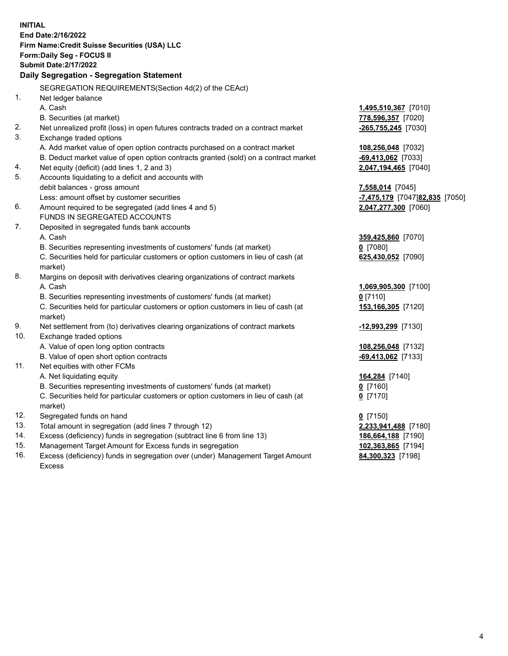15. Management Target Amount for Excess funds in segregation **102,363,865** [7194] 16. Excess (deficiency) funds in segregation over (under) Management Target Amount **84,300,323** [7198] **INITIAL End Date:2/16/2022 Firm Name:Credit Suisse Securities (USA) LLC Form:Daily Seg - FOCUS II Submit Date:2/17/2022 Daily Segregation - Segregation Statement**  SEGREGATION REQUIREMENTS(Section 4d(2) of the CEAct) 1. Net ledger balance A. Cash **1,495,510,367** [7010] B. Securities (at market) **778,596,357** [7020] 2. Net unrealized profit (loss) in open futures contracts traded on a contract market **-265,755,245** [7030] 3. Exchange traded options A. Add market value of open option contracts purchased on a contract market **108,256,048** [7032] B. Deduct market value of open option contracts granted (sold) on a contract market **-69,413,062** [7033] 4. Net equity (deficit) (add lines 1, 2 and 3) **2,047,194,465** [7040] 5. Accounts liquidating to a deficit and accounts with debit balances - gross amount **7,558,014** [7045] Less: amount offset by customer securities **and the securities -7,475,179** [7047] **82,835** [7050] 6. Amount required to be segregated (add lines 4 and 5) **2,047,277,300** [7060] FUNDS IN SEGREGATED ACCOUNTS 7. Deposited in segregated funds bank accounts A. Cash **359,425,860** [7070] B. Securities representing investments of customers' funds (at market) **0** [7080] C. Securities held for particular customers or option customers in lieu of cash (at **625,430,052** [7090] market) 8. Margins on deposit with derivatives clearing organizations of contract markets A. Cash **1,069,905,300** [7100] B. Securities representing investments of customers' funds (at market) **0** [7110] C. Securities held for particular customers or option customers in lieu of cash (at **153,166,305** [7120] market) 9. Net settlement from (to) derivatives clearing organizations of contract markets **-12,993,299** [7130] 10. Exchange traded options A. Value of open long option contracts **108,256,048** [7132] B. Value of open short option contracts **-69,413,062** [7133] 11. Net equities with other FCMs A. Net liquidating equity **164,284** [7140] B. Securities representing investments of customers' funds (at market) **0** [7160] C. Securities held for particular customers or option customers in lieu of cash (at **0** [7170] market) 12. Segregated funds on hand **0** [7150] 13. Total amount in segregation (add lines 7 through 12) **2,233,941,488** [7180] 14. Excess (deficiency) funds in segregation (subtract line 6 from line 13) **186,664,188** [7190]

Excess